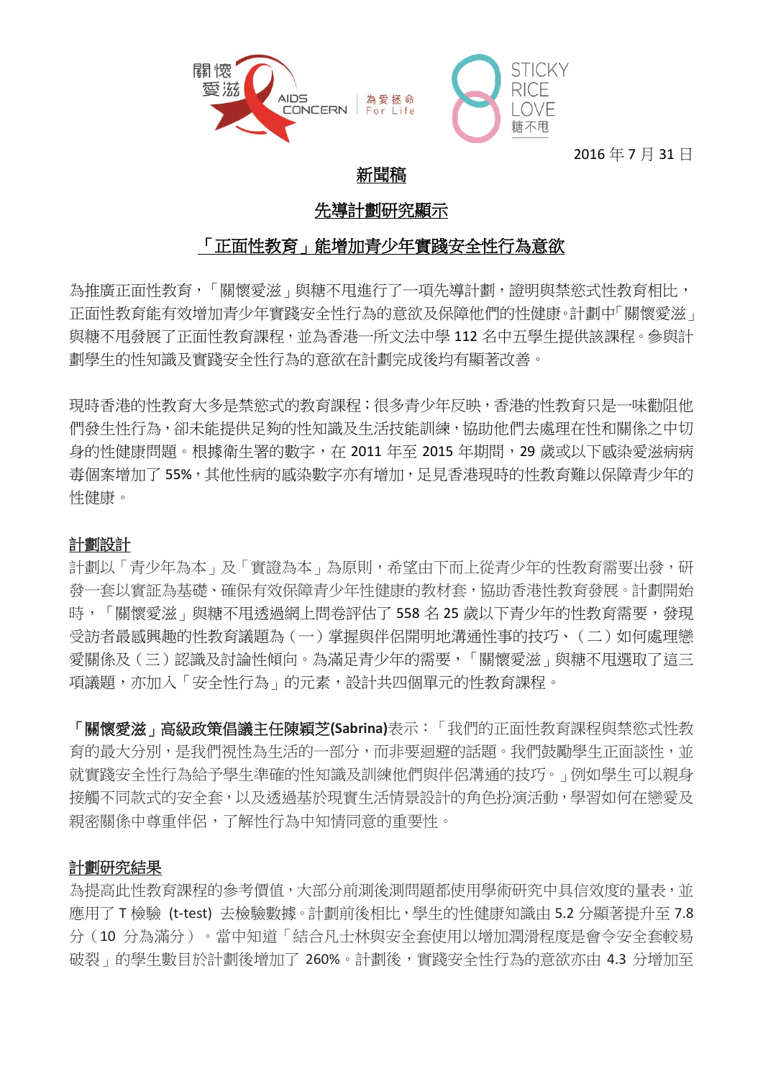

2016 年 7 月 31 日

# 新聞稿

# 先導計劃研究顯示

# 「正面性教育」能增加青少年實踐安全性行為意欲

為推廣正面性教育,「關懷愛滋」與糖不甩進行了一項先導計劃,證明與禁慾式性教育相比, 正面性教育能有效增加青少年實踐安全性行為的意欲及保障他們的性健康。計劃中「關懷愛滋」 與糖不用發展了正面性教育課程,並為香港一所文法中學 112 名中五學生提供該課程。參與計 劃學生的性知識及實踐安全性行為的意欲在計劃完成後均有顯著改善。

現時香港的性教育大多是禁慾式的教育課程;很多青少年反映,香港的性教育只是一味勸阻他 們發生性行為,卻未能提供足夠的性知識及生活技能訓練,協助他們去處理在性和關係之中切 身的性健康問題。根據衛生署的數字, 在 2011 年至 2015 年期間, 29 歲或以下感染愛滋病病 毒個案增加了 55%,其他性病的感染數字亦有增加,足見香港現時的性教育難以保障青少年的 性健康。

## 計劃設計

計劃以「青少年為本」及「實證為本」為原則,希望由下而上從青少年的性教育需要出發,研 發一套以實証為基礎、確保有效保障青少年性健康的教材套,協助香港性教育發展。計劃開始 時,「關懷愛滋」與糖不用诱過網上問卷評估了 558 名 25 歳以下青少年的性教育需要,發現 受訪者最感興趣的性教育議題為(一)掌握與伴侶開明地溝通性事的技巧、(二)如何處理戀 愛關係及(三)認識及討論性傾向。為滿足青少年的需要,「關懷愛滋」與糖不用選取了這三 項議題,亦加入「安全性行為」的元素,設計共四個單元的性教育課程。

「關懷愛滋」高級政策倡議主任陳穎芝**(Sabrina)**表示:「我們的正面性教育課程與禁慾式性教 育的最大分別,是我們視性為生活的一部分,而非要迴避的話題。我們鼓勵學生正面談性,並 就實踐安全性行為給予學生準確的性知識及訓練他們與伴侶溝通的技巧。」例如學生可以親身 接觸不同款式的安全套,以及透過基於現實生活情景設計的角色扮演活動,學習如何在戀愛及 親密關係中尊重伴侶,了解性行為中知情同意的重要性。

## 計劃研究結果

為提高此性教育課程的參考價值,大部分前測後測問題都使用學術研究中具信效度的量表,並 應用了 T 檢驗 (t-test) 去檢驗數據。計劃前後相比,學生的性健康知識由 5.2 分顯著提升至 7.8 分(10 分為滿分)。當中知道「結合凡士林與安全套使用以增加潤滑程度是會令安全套較易 破裂」的學生數目於計劃後增加了 260%。計劃後,實踐安全性行為的意欲亦由 4.3 分增加至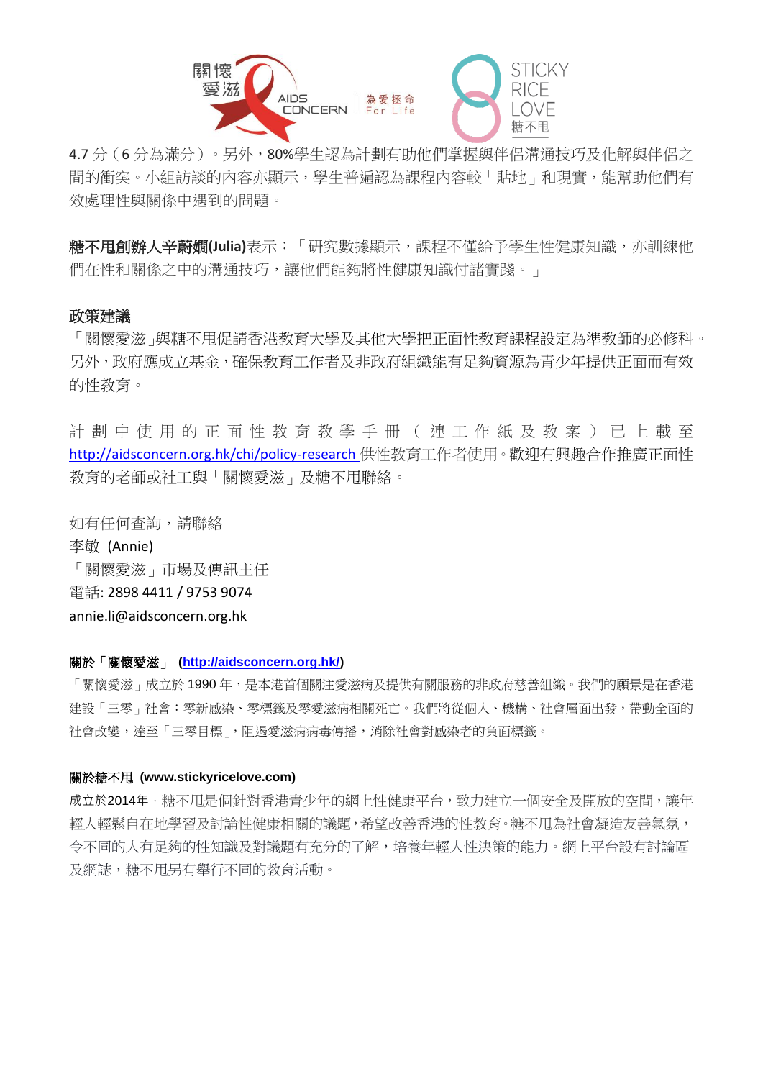

4.7 分(6分為滿分)。另外,80%學生認為計劃有助他們掌握與伴侶溝通技巧及化解與伴侶之 間的衝突。小組訪談的內容亦顯示,學生普遍認為課程內容較「貼地」和現實,能幫助他們有 效處理性與關係中遇到的問題。

糖不甩創辦人辛蔚嫺**(Julia)**表示:「研究數據顯示,課程不僅給予學生性健康知識,亦訓練他 們在性和關係之中的溝通技巧,讓他們能夠將性健康知識付諸實踐。」

#### 政策建議

「關懷愛滋」與糖不甩促請香港教育大學及其他大學把正面性教育課程設定為準教師的必修科。 另外,政府應成立基金,確保教育工作者及非政府組織能有足夠資源為青少年提供正面而有效 的性教育。

計 劃 中 使 用 的 正 面 性 教 育 教 學 手 冊 ( 連 工 作 紙 及 教 案 ) 已 上 載 至 <http://aidsconcern.org.hk/chi/policy-research> 供性教育工作者使用。歡迎有興趣合作推廣正面性 教育的老師或社工與「關懷愛滋」及糖不甩聯絡。

如有任何查詢,請聯絡 李敏 (Annie) 「關懷愛滋」市場及傳訊主任 電話: 2898 4411 / 9753 9074 annie.li@aidsconcern.org.hk

#### 關於「關懷愛滋」 **[\(http://aidsconcern.org.hk/\)](http://aidsconcern.org.hk/)**

「關懷愛滋」成立於 1990 年,是本港首個關注愛滋病及提供有關服務的非政府慈善組織。我們的願景是在香港 建設「三零」社會:零新感染、零標籤及零愛滋病相關死亡。我們將從個人、機構、社會層面出發,帶動全面的 社會改變,達至「三零目標」,阻遏愛滋病病毒傳播,消除社會對感染者的負面標籤。

#### 關於糖不甩 **[\(www.stickyricelove.com\)](http://www.stickyricelove.com/)**

成立於2014年,糖不甩是個針對香港青少年的網上性健康平台,致力建立一個安全及開放的空間,讓年 輕人輕鬆自在地學習及討論性健康相關的議題,希望改善香港的性教育。糖不甩為社會凝造友善氣氛, 令不同的人有足夠的性知識及對議題有充分的了解,培養年輕人性決策的能力。網上平台設有討論區 及網誌,糖不甩另有舉行不同的教育活動。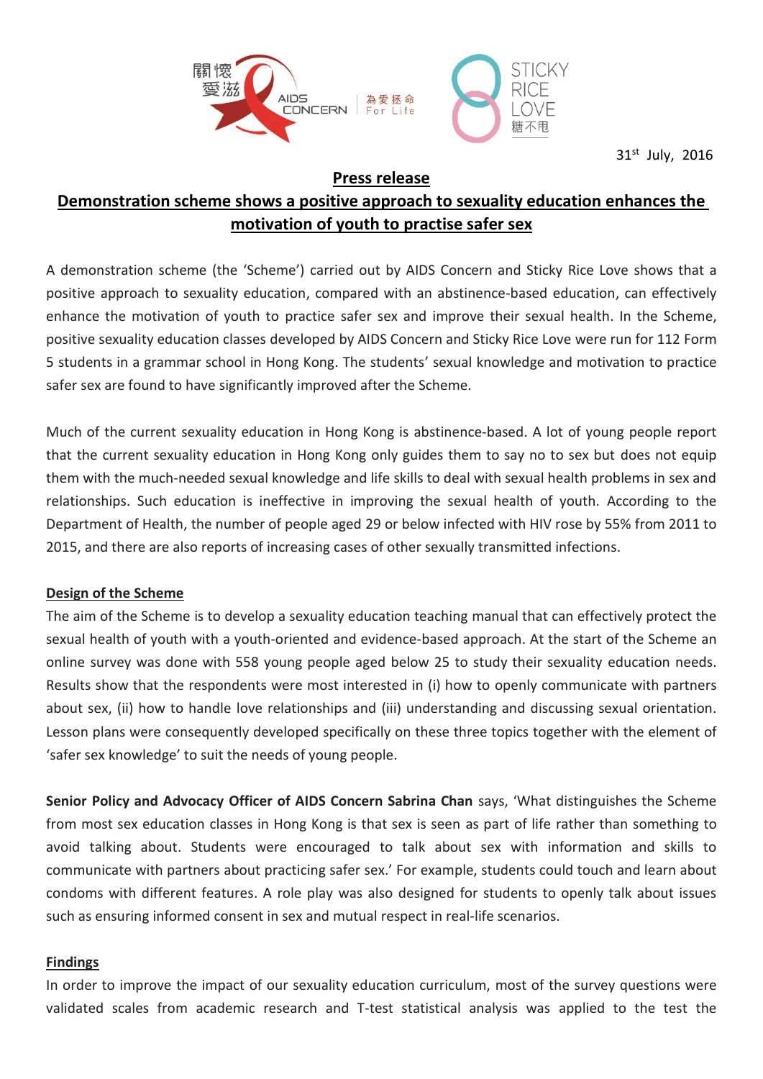

31st July, 2016

## **Press release**

# **Demonstration scheme shows a positive approach to sexuality education enhances the motivation of youth to practise safer sex**

A demonstration scheme (the 'Scheme') carried out by AIDS Concern and Sticky Rice Love shows that a positive approach to sexuality education, compared with an abstinence-based education, can effectively enhance the motivation of youth to practice safer sex and improve their sexual health. In the Scheme, positive sexuality education classes developed by AIDS Concern and Sticky Rice Love were run for 112 Form 5 students in a grammar school in Hong Kong. The students' sexual knowledge and motivation to practice safer sex are found to have significantly improved after the Scheme.

Much of the current sexuality education in Hong Kong is abstinence-based. A lot of young people report that the current sexuality education in Hong Kong only guides them to say no to sex but does not equip them with the much-needed sexual knowledge and life skills to deal with sexual health problems in sex and relationships. Such education is ineffective in improving the sexual health of youth. According to the Department of Health, the number of people aged 29 or below infected with HIV rose by 55% from 2011 to 2015, and there are also reports of increasing cases of other sexually transmitted infections.

## **Design of the Scheme**

The aim of the Scheme is to develop a sexuality education teaching manual that can effectively protect the sexual health of youth with a youth-oriented and evidence-based approach. At the start of the Scheme an online survey was done with 558 young people aged below 25 to study their sexuality education needs. Results show that the respondents were most interested in (i) how to openly communicate with partners about sex, (ii) how to handle love relationships and (iii) understanding and discussing sexual orientation. Lesson plans were consequently developed specifically on these three topics together with the element of 'safer sex knowledge' to suit the needs of young people.

**Senior Policy and Advocacy Officer of AIDS Concern Sabrina Chan** says, 'What distinguishes the Scheme from most sex education classes in Hong Kong is that sex is seen as part of life rather than something to avoid talking about. Students were encouraged to talk about sex with information and skills to communicate with partners about practicing safer sex.' For example, students could touch and learn about condoms with different features. A role play was also designed for students to openly talk about issues such as ensuring informed consent in sex and mutual respect in real-life scenarios.

## **Findings**

In order to improve the impact of our sexuality education curriculum, most of the survey questions were validated scales from academic research and T-test statistical analysis was applied to the test the